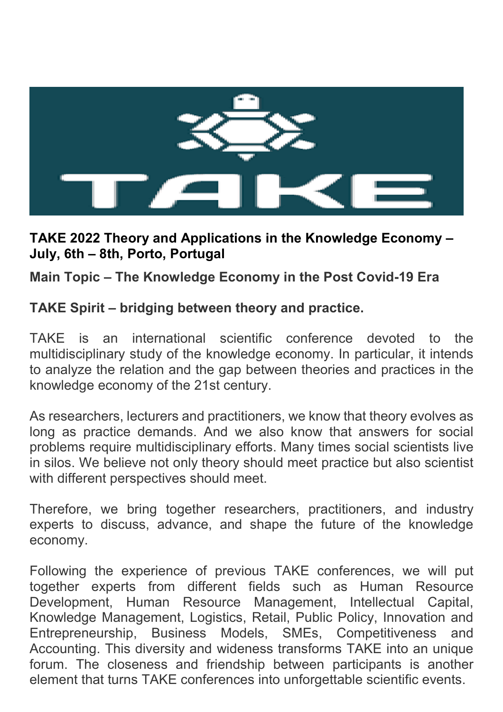

### **TAKE 2022 Theory and Applications in the Knowledge Economy – July, 6th – 8th, Porto, Portugal**

**Main Topic – The Knowledge Economy in the Post Covid-19 Era** 

### **TAKE Spirit – bridging between theory and practice.**

TAKE is an international scientific conference devoted to the multidisciplinary study of the knowledge economy. In particular, it intends to analyze the relation and the gap between theories and practices in the knowledge economy of the 21st century.

As researchers, lecturers and practitioners, we know that theory evolves as long as practice demands. And we also know that answers for social problems require multidisciplinary efforts. Many times social scientists live in silos. We believe not only theory should meet practice but also scientist with different perspectives should meet.

Therefore, we bring together researchers, practitioners, and industry experts to discuss, advance, and shape the future of the knowledge economy.

Following the experience of previous TAKE conferences, we will put together experts from different fields such as Human Resource Development, Human Resource Management, Intellectual Capital, Knowledge Management, Logistics, Retail, Public Policy, Innovation and Entrepreneurship, Business Models, SMEs, Competitiveness and Accounting. This diversity and wideness transforms TAKE into an unique forum. The closeness and friendship between participants is another element that turns TAKE conferences into unforgettable scientific events.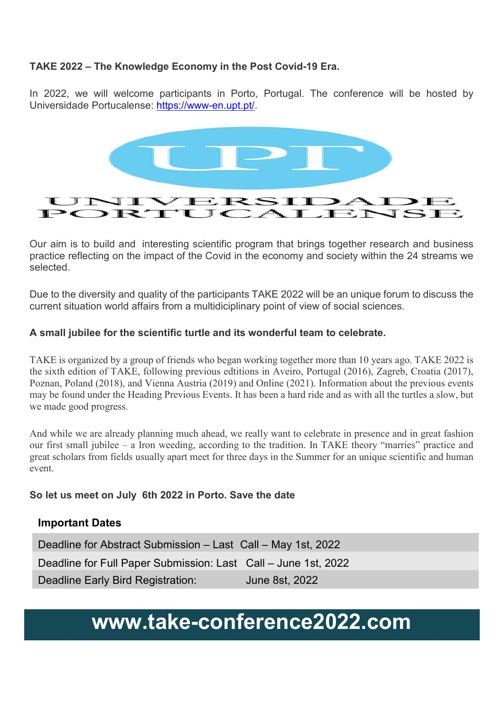### **TAKE 2022 – The Knowledge Economy in the Post Covid-19 Era.**

In 2022, we will welcome participants in Porto, Portugal. The conference will be hosted by Universidade Portucalense: https://www-en.upt.pt/.



Our aim is to build and interesting scientific program that brings together research and business practice reflecting on the impact of the Covid in the economy and society within the 24 streams we selected.

Due to the diversity and quality of the participants TAKE 2022 will be an unique forum to discuss the current situation world affairs from a multidiciplinary point of view of social sciences.

### **A small jubilee for the scientific turtle and its wonderful team to celebrate.**

TAKE is organized by a group of friends who began working together more than 10 years ago. TAKE 2022 is the sixth edition of TAKE, following previous edtitions in Aveiro, Portugal (2016), Zagreb, Croatia (2017), Poznan, Poland (2018), and Vienna Austria (2019) and Online (2021). Information about the previous events may be found under the Heading Previous Events. It has been a hard ride and as with all the turtles a slow, but we made good progress.

And while we are already planning much ahead, we really want to celebrate in presence and in great fashion our first small jubilee – a Iron weeding, according to the tradition. In TAKE theory "marries" practice and great scholars from fields usually apart meet for three days in the Summer for an unique scientific and human event.

#### **So let us meet on July 6th 2022 in Porto. Save the date**

### **Important Dates**

Deadline for Abstract Submission – Last Call – May 1st, 2022 Deadline for Full Paper Submission: Last Call – June 1st, 2022 Deadline Early Bird Registration: June 8st, 2022

# **www.take-conference2022.com**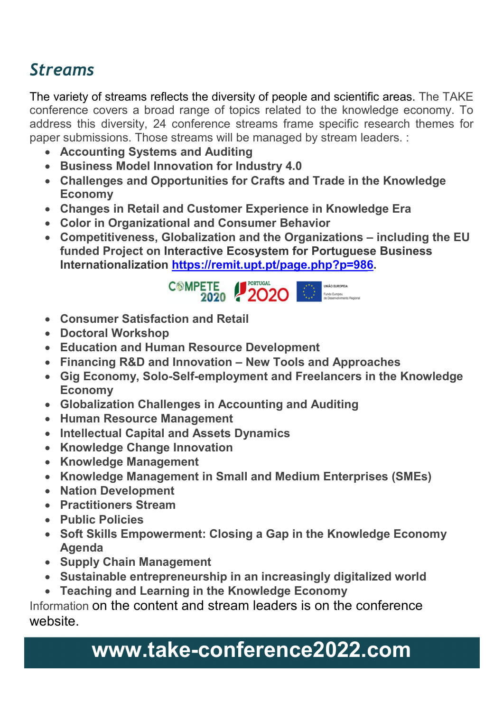## *Streams*

The variety of streams reflects the diversity of people and scientific areas. The TAKE conference covers a broad range of topics related to the knowledge economy. To address this diversity, 24 conference streams frame specific research themes for paper submissions. Those streams will be managed by stream leaders. :

- **Accounting Systems and Auditing**
- **Business Model Innovation for Industry 4.0**
- **Challenges and Opportunities for Crafts and Trade in the Knowledge Economy**
- **Changes in Retail and Customer Experience in Knowledge Era**
- **Color in Organizational and Consumer Behavior**
- **Competitiveness, Globalization and the Organizations including the EU funded Project on Interactive Ecosystem for Portuguese Business Internationalization https://remit.upt.pt/page.php?p=986.**



- **Consumer Satisfaction and Retail**
- **Doctoral Workshop**
- **Education and Human Resource Development**
- **Financing R&D and Innovation New Tools and Approaches**
- **Gig Economy, Solo-Self-employment and Freelancers in the Knowledge Economy**
- **Globalization Challenges in Accounting and Auditing**
- **Human Resource Management**
- **Intellectual Capital and Assets Dynamics**
- **Knowledge Change Innovation**
- **Knowledge Management**
- **Knowledge Management in Small and Medium Enterprises (SMEs)**
- **Nation Development**
- **Practitioners Stream**
- **Public Policies**
- **Soft Skills Empowerment: Closing a Gap in the Knowledge Economy Agenda**
- **Supply Chain Management**
- **Sustainable entrepreneurship in an increasingly digitalized world**
- **Teaching and Learning in the Knowledge Economy**

Information on the content and stream leaders is on the conference website.

# **www.take-conference2022.com**